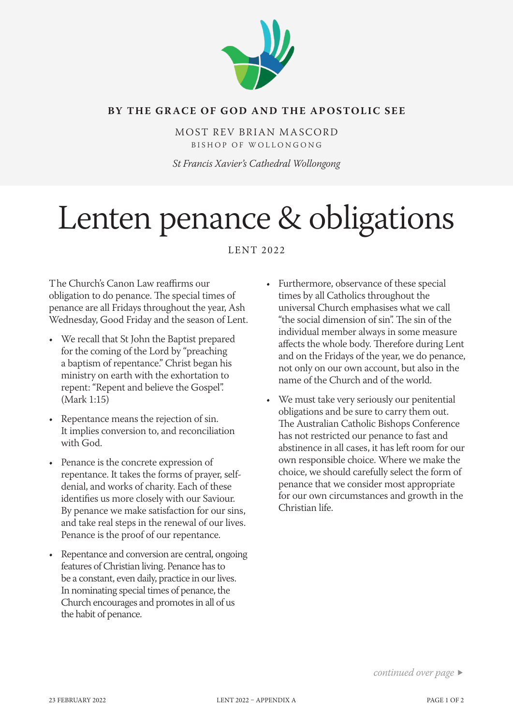

### **BY THE GRACE OF GOD AND THE APOSTOLIC SEE**

MOST REV BRIAN MASCORD BISHOP OF WOLLONGONG

*St Francis Xavier's Cathedral Wollongong*

# Lenten penance & obligations

LENT 2022

The Church's Canon Law reaffirms our obligation to do penance. The special times of penance are all Fridays throughout the year, Ash Wednesday, Good Friday and the season of Lent.

- We recall that St John the Baptist prepared for the coming of the Lord by "preaching a baptism of repentance." Christ began his ministry on earth with the exhortation to repent: "Repent and believe the Gospel". (Mark 1:15)
- Repentance means the rejection of sin. It implies conversion to, and reconciliation with God.
- Penance is the concrete expression of repentance. It takes the forms of prayer, selfdenial, and works of charity. Each of these identifies us more closely with our Saviour. By penance we make satisfaction for our sins, and take real steps in the renewal of our lives. Penance is the proof of our repentance.
- Repentance and conversion are central, ongoing features of Christian living. Penance has to be a constant, even daily, practice in our lives. In nominating special times of penance, the Church encourages and promotes in all of us the habit of penance.
- Furthermore, observance of these special times by all Catholics throughout the universal Church emphasises what we call "the social dimension of sin". The sin of the individual member always in some measure affects the whole body. Therefore during Lent and on the Fridays of the year, we do penance, not only on our own account, but also in the name of the Church and of the world.
- We must take very seriously our penitential obligations and be sure to carry them out. The Australian Catholic Bishops Conference has not restricted our penance to fast and abstinence in all cases, it has left room for our own responsible choice. Where we make the choice, we should carefully select the form of penance that we consider most appropriate for our own circumstances and growth in the Christian life.

*continued over page*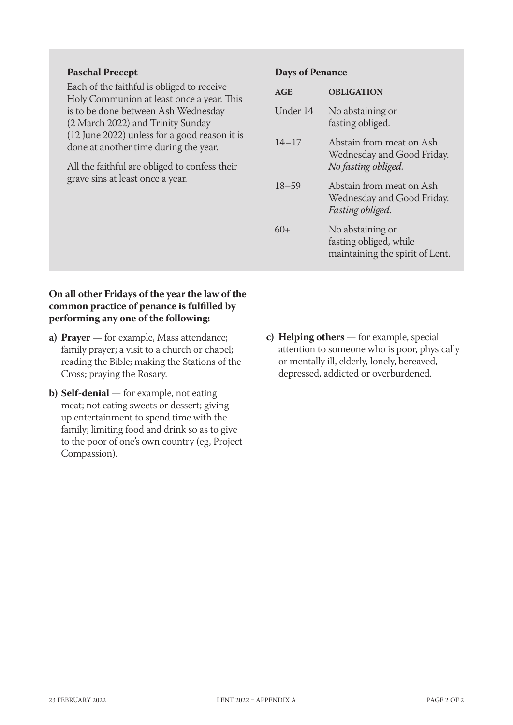### **Paschal Precept**

Each of the faithful is obliged to receive Holy Communion at least once a year. This is to be done between Ash Wednesday (2 March 2022) and Trinity Sunday (12 June 2022) unless for a good reason it is done at another time during the year.

All the faithful are obliged to confess their grave sins at least once a year.

#### **Days of Penance**

| AGE       | <b>OBLIGATION</b>                                                             |
|-----------|-------------------------------------------------------------------------------|
| Under 14  | No abstaining or<br>fasting obliged.                                          |
| $14 - 17$ | Abstain from meat on Ash<br>Wednesday and Good Friday.<br>No fasting obliged. |
| $18 - 59$ | Abstain from meat on Ash<br>Wednesday and Good Friday.<br>Fasting obliged.    |
| 60+       | No abstaining or<br>fasting obliged, while<br>maintaining the spirit of Lent. |

### **On all other Fridays of the year the law of the common practice of penance is fulfilled by performing any one of the following:**

- **a) Prayer** for example, Mass attendance; family prayer; a visit to a church or chapel; reading the Bible; making the Stations of the Cross; praying the Rosary.
- **b) Self-denial** for example, not eating meat; not eating sweets or dessert; giving up entertainment to spend time with the family; limiting food and drink so as to give to the poor of one's own country (eg, Project Compassion).
- **c) Helping others** for example, special attention to someone who is poor, physically or mentally ill, elderly, lonely, bereaved, depressed, addicted or overburdened.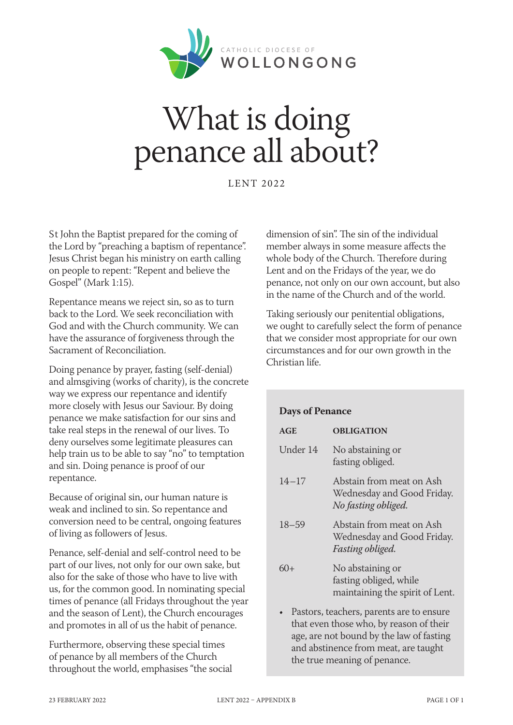

# What is doing penance all about?

LENT 2022

St John the Baptist prepared for the coming of the Lord by "preaching a baptism of repentance". Jesus Christ began his ministry on earth calling on people to repent: "Repent and believe the Gospel" (Mark 1:15).

Repentance means we reject sin, so as to turn back to the Lord. We seek reconciliation with God and with the Church community. We can have the assurance of forgiveness through the Sacrament of Reconciliation.

Doing penance by prayer, fasting (self-denial) and almsgiving (works of charity), is the concrete way we express our repentance and identify more closely with Jesus our Saviour. By doing penance we make satisfaction for our sins and take real steps in the renewal of our lives. To deny ourselves some legitimate pleasures can help train us to be able to say "no" to temptation and sin. Doing penance is proof of our repentance.

Because of original sin, our human nature is weak and inclined to sin. So repentance and conversion need to be central, ongoing features of living as followers of Jesus.

Penance, self-denial and self-control need to be part of our lives, not only for our own sake, but also for the sake of those who have to live with us, for the common good. In nominating special times of penance (all Fridays throughout the year and the season of Lent), the Church encourages and promotes in all of us the habit of penance.

Furthermore, observing these special times of penance by all members of the Church throughout the world, emphasises "the social dimension of sin". The sin of the individual member always in some measure affects the whole body of the Church. Therefore during Lent and on the Fridays of the year, we do penance, not only on our own account, but also in the name of the Church and of the world.

Taking seriously our penitential obligations, we ought to carefully select the form of penance that we consider most appropriate for our own circumstances and for our own growth in the Christian life.

### **Days of Penance**

| AGE       | <b>OBLIGATION</b>                                                             |
|-----------|-------------------------------------------------------------------------------|
| Under 14  | No abstaining or<br>fasting obliged.                                          |
| $14 - 17$ | Abstain from meat on Ash<br>Wednesday and Good Friday.<br>No fasting obliged. |
| $18 - 59$ | Abstain from meat on Ash<br>Wednesday and Good Friday.<br>Fasting obliged.    |
| 60+       | No abstaining or<br>fasting obliged, while<br>maintaining the spirit of Lent. |

• Pastors, teachers, parents are to ensure that even those who, by reason of their age, are not bound by the law of fasting and abstinence from meat, are taught the true meaning of penance.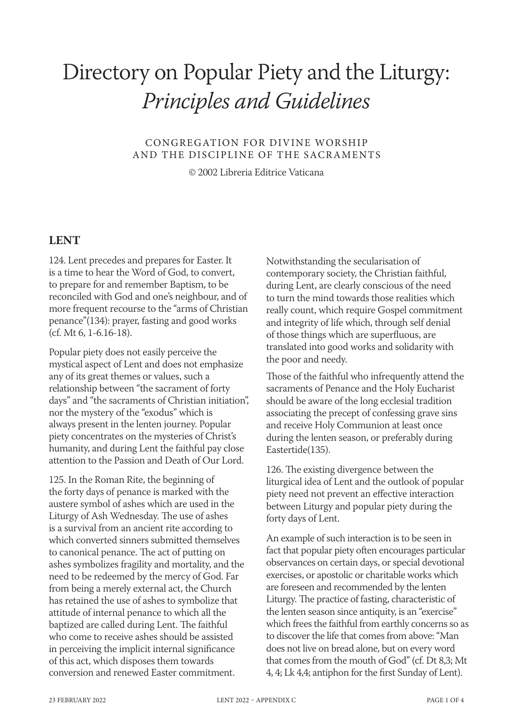# Directory on Popular Piety and the Liturgy: *Principles and Guidelines*

CONGREGATION FOR DIVINE WORSHIP AND THE DISCIPLINE OF THE SACRAMENTS

© 2002 Libreria Editrice Vaticana

## **LENT**

124. Lent precedes and prepares for Easter. It is a time to hear the Word of God, to convert, to prepare for and remember Baptism, to be reconciled with God and one's neighbour, and of more frequent recourse to the "arms of Christian penance"(134): prayer, fasting and good works (cf. Mt 6, 1-6.16-18).

Popular piety does not easily perceive the mystical aspect of Lent and does not emphasize any of its great themes or values, such a relationship between "the sacrament of forty days" and "the sacraments of Christian initiation", nor the mystery of the "exodus" which is always present in the lenten journey. Popular piety concentrates on the mysteries of Christ's humanity, and during Lent the faithful pay close attention to the Passion and Death of Our Lord.

125. In the Roman Rite, the beginning of the forty days of penance is marked with the austere symbol of ashes which are used in the Liturgy of Ash Wednesday. The use of ashes is a survival from an ancient rite according to which converted sinners submitted themselves to canonical penance. The act of putting on ashes symbolizes fragility and mortality, and the need to be redeemed by the mercy of God. Far from being a merely external act, the Church has retained the use of ashes to symbolize that attitude of internal penance to which all the baptized are called during Lent. The faithful who come to receive ashes should be assisted in perceiving the implicit internal significance of this act, which disposes them towards conversion and renewed Easter commitment.

Notwithstanding the secularisation of contemporary society, the Christian faithful, during Lent, are clearly conscious of the need to turn the mind towards those realities which really count, which require Gospel commitment and integrity of life which, through self denial of those things which are superfluous, are translated into good works and solidarity with the poor and needy.

Those of the faithful who infrequently attend the sacraments of Penance and the Holy Eucharist should be aware of the long ecclesial tradition associating the precept of confessing grave sins and receive Holy Communion at least once during the lenten season, or preferably during Eastertide(135).

126. The existing divergence between the liturgical idea of Lent and the outlook of popular piety need not prevent an effective interaction between Liturgy and popular piety during the forty days of Lent.

An example of such interaction is to be seen in fact that popular piety often encourages particular observances on certain days, or special devotional exercises, or apostolic or charitable works which are foreseen and recommended by the lenten Liturgy. The practice of fasting, characteristic of the lenten season since antiquity, is an "exercise" which frees the faithful from earthly concerns so as to discover the life that comes from above: "Man does not live on bread alone, but on every word that comes from the mouth of God" (cf. Dt 8,3; Mt 4, 4; Lk 4,4; antiphon for the first Sunday of Lent).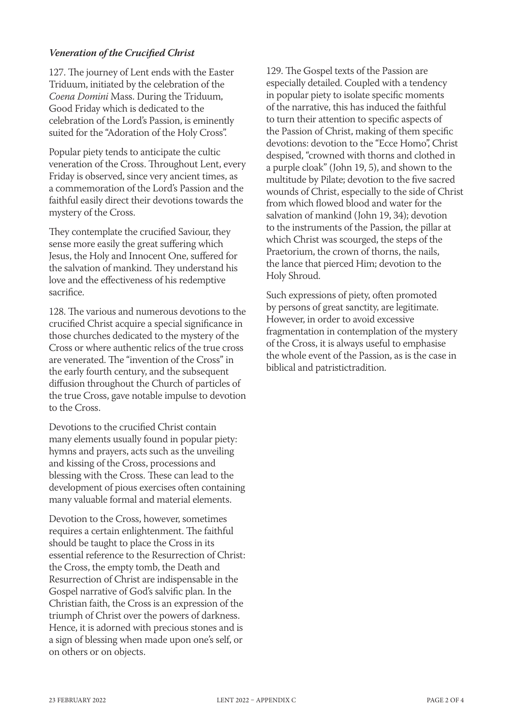### *Veneration of the Crucified Christ*

127. The journey of Lent ends with the Easter Triduum, initiated by the celebration of the *Coena Domini* Mass. During the Triduum, Good Friday which is dedicated to the celebration of the Lord's Passion, is eminently suited for the "Adoration of the Holy Cross".

Popular piety tends to anticipate the cultic veneration of the Cross. Throughout Lent, every Friday is observed, since very ancient times, as a commemoration of the Lord's Passion and the faithful easily direct their devotions towards the mystery of the Cross.

They contemplate the crucified Saviour, they sense more easily the great suffering which Jesus, the Holy and Innocent One, suffered for the salvation of mankind. They understand his love and the effectiveness of his redemptive sacrifice.

128. The various and numerous devotions to the crucified Christ acquire a special significance in those churches dedicated to the mystery of the Cross or where authentic relics of the true cross are venerated. The "invention of the Cross" in the early fourth century, and the subsequent diffusion throughout the Church of particles of the true Cross, gave notable impulse to devotion to the Cross.

Devotions to the crucified Christ contain many elements usually found in popular piety: hymns and prayers, acts such as the unveiling and kissing of the Cross, processions and blessing with the Cross. These can lead to the development of pious exercises often containing many valuable formal and material elements.

Devotion to the Cross, however, sometimes requires a certain enlightenment. The faithful should be taught to place the Cross in its essential reference to the Resurrection of Christ: the Cross, the empty tomb, the Death and Resurrection of Christ are indispensable in the Gospel narrative of God's salvific plan. In the Christian faith, the Cross is an expression of the triumph of Christ over the powers of darkness. Hence, it is adorned with precious stones and is a sign of blessing when made upon one's self, or on others or on objects.

129. The Gospel texts of the Passion are especially detailed. Coupled with a tendency in popular piety to isolate specific moments of the narrative, this has induced the faithful to turn their attention to specific aspects of the Passion of Christ, making of them specific devotions: devotion to the "Ecce Homo", Christ despised, "crowned with thorns and clothed in a purple cloak" (John 19, 5), and shown to the multitude by Pilate; devotion to the five sacred wounds of Christ, especially to the side of Christ from which flowed blood and water for the salvation of mankind (John 19, 34); devotion to the instruments of the Passion, the pillar at which Christ was scourged, the steps of the Praetorium, the crown of thorns, the nails, the lance that pierced Him; devotion to the Holy Shroud.

Such expressions of piety, often promoted by persons of great sanctity, are legitimate. However, in order to avoid excessive fragmentation in contemplation of the mystery of the Cross, it is always useful to emphasise the whole event of the Passion, as is the case in biblical and patristictradition.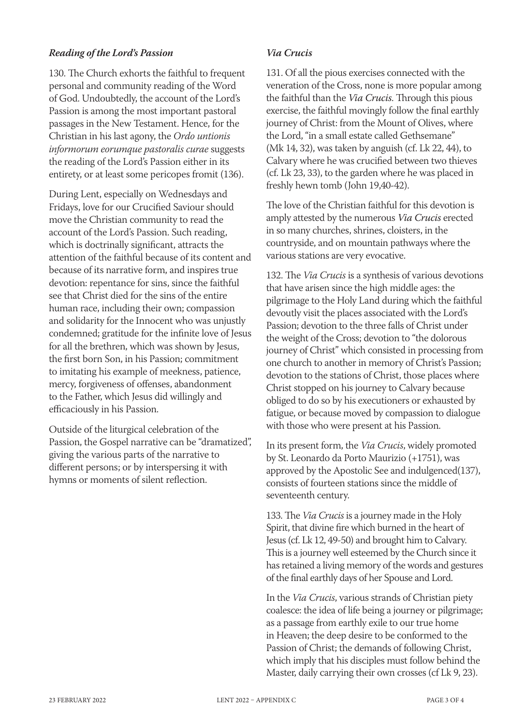### *Reading of the Lord's Passion*

130. The Church exhorts the faithful to frequent personal and community reading of the Word of God. Undoubtedly, the account of the Lord's Passion is among the most important pastoral passages in the New Testament. Hence, for the Christian in his last agony, the *Ordo untionis informorum eorumque pastoralis curae* suggests the reading of the Lord's Passion either in its entirety, or at least some pericopes fromit (136).

During Lent, especially on Wednesdays and Fridays, love for our Crucified Saviour should move the Christian community to read the account of the Lord's Passion. Such reading, which is doctrinally significant, attracts the attention of the faithful because of its content and because of its narrative form, and inspires true devotion: repentance for sins, since the faithful see that Christ died for the sins of the entire human race, including their own; compassion and solidarity for the Innocent who was unjustly condemned; gratitude for the infinite love of Jesus for all the brethren, which was shown by Jesus, the first born Son, in his Passion; commitment to imitating his example of meekness, patience, mercy, forgiveness of offenses, abandonment to the Father, which Jesus did willingly and efficaciously in his Passion.

Outside of the liturgical celebration of the Passion, the Gospel narrative can be "dramatized", giving the various parts of the narrative to different persons; or by interspersing it with hymns or moments of silent reflection.

### *Via Crucis*

131. Of all the pious exercises connected with the veneration of the Cross, none is more popular among the faithful than the *Via Crucis*. Through this pious exercise, the faithful movingly follow the final earthly journey of Christ: from the Mount of Olives, where the Lord, "in a small estate called Gethsemane" (Mk 14, 32), was taken by anguish (cf. Lk 22, 44), to Calvary where he was crucified between two thieves (cf. Lk 23, 33), to the garden where he was placed in freshly hewn tomb (John 19,40-42).

The love of the Christian faithful for this devotion is amply attested by the numerous *Via Crucis* erected in so many churches, shrines, cloisters, in the countryside, and on mountain pathways where the various stations are very evocative.

132. The *Via Crucis* is a synthesis of various devotions that have arisen since the high middle ages: the pilgrimage to the Holy Land during which the faithful devoutly visit the places associated with the Lord's Passion; devotion to the three falls of Christ under the weight of the Cross; devotion to "the dolorous journey of Christ" which consisted in processing from one church to another in memory of Christ's Passion; devotion to the stations of Christ, those places where Christ stopped on his journey to Calvary because obliged to do so by his executioners or exhausted by fatigue, or because moved by compassion to dialogue with those who were present at his Passion.

In its present form, the *Via Crucis*, widely promoted by St. Leonardo da Porto Maurizio (+1751), was approved by the Apostolic See and indulgenced(137), consists of fourteen stations since the middle of seventeenth century.

133. The *Via Crucis* is a journey made in the Holy Spirit, that divine fire which burned in the heart of Jesus (cf. Lk 12, 49-50) and brought him to Calvary. This is a journey well esteemed by the Church since it has retained a living memory of the words and gestures of the final earthly days of her Spouse and Lord.

In the *Via Crucis*, various strands of Christian piety coalesce: the idea of life being a journey or pilgrimage; as a passage from earthly exile to our true home in Heaven; the deep desire to be conformed to the Passion of Christ; the demands of following Christ, which imply that his disciples must follow behind the Master, daily carrying their own crosses (cf Lk 9, 23).